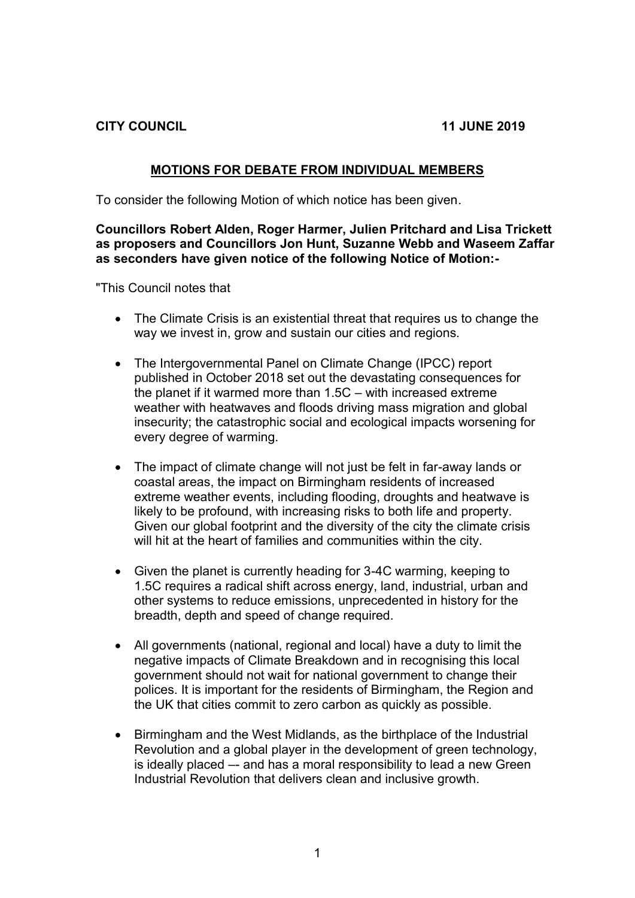**CITY COUNCIL 11 JUNE 2019** 

## **MOTIONS FOR DEBATE FROM INDIVIDUAL MEMBERS**

To consider the following Motion of which notice has been given.

## **Councillors Robert Alden, Roger Harmer, Julien Pritchard and Lisa Trickett as proposers and Councillors Jon Hunt, Suzanne Webb and Waseem Zaffar as seconders have given notice of the following Notice of Motion:-**

"This Council notes that

- The Climate Crisis is an existential threat that requires us to change the way we invest in, grow and sustain our cities and regions.
- The Intergovernmental Panel on Climate Change (IPCC) report published in October 2018 set out the devastating consequences for the planet if it warmed more than 1.5C – with increased extreme weather with heatwaves and floods driving mass migration and global insecurity; the catastrophic social and ecological impacts worsening for every degree of warming.
- The impact of climate change will not just be felt in far-away lands or coastal areas, the impact on Birmingham residents of increased extreme weather events, including flooding, droughts and heatwave is likely to be profound, with increasing risks to both life and property. Given our global footprint and the diversity of the city the climate crisis will hit at the heart of families and communities within the city.
- Given the planet is currently heading for 3-4C warming, keeping to 1.5C requires a radical shift across energy, land, industrial, urban and other systems to reduce emissions, unprecedented in history for the breadth, depth and speed of change required.
- All governments (national, regional and local) have a duty to limit the negative impacts of Climate Breakdown and in recognising this local government should not wait for national government to change their polices. It is important for the residents of Birmingham, the Region and the UK that cities commit to zero carbon as quickly as possible.
- Birmingham and the West Midlands, as the birthplace of the Industrial Revolution and a global player in the development of green technology, is ideally placed –- and has a moral responsibility to lead a new Green Industrial Revolution that delivers clean and inclusive growth.